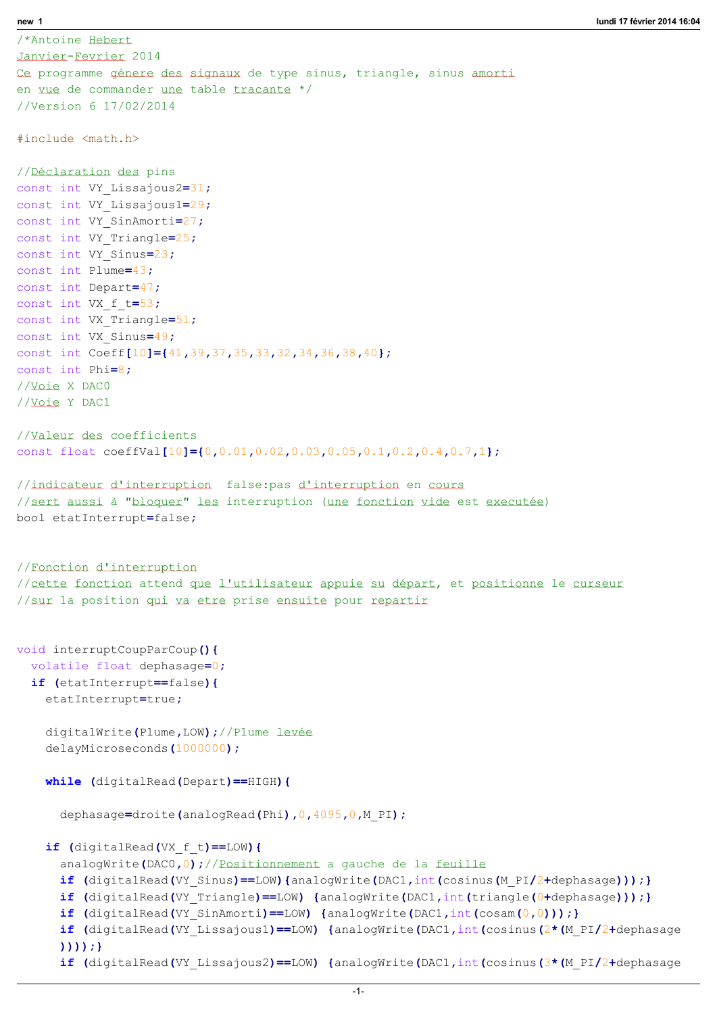/\*Antoine Hebert Janvier-Fevrier 2014 Ce programme génere des signaux de type sinus, triangle, sinus amorti en vue de commander une table tracante \*/ //Version 6 17/02/2014 #include <math.h> //Déclaration des pins const int VY Lissajous2=31; const int VY Lissajous1=29; const int VY SinAmorti=27; const int VY Triangle=25; const int VY\_Sinus=23; const int Plume=43; const int Depart=47; const int VX f t=53; const int VX Triangle=51; const int VX Sinus=49; const int Coeff[10]={41,39,37,35,33,32,34,36,38,40}; const int Phi=8; //Voie X DAC0 //Voie Y DAC1 //Valeur des coefficients const float coeffVal[10]={0,0.01,0.02,0.03,0.05,0.1,0.2,0.4,0.7,1}; //indicateur d'interruption false:pas d'interruption en cours //sert aussi à "bloquer" les interruption (une fonction vide est executée) bool etatInterrupt=false; //Fonction d'interruption //cette fonction attend que l'utilisateur appuie su départ, et positionne le curseur //sur la position qui va etre prise ensuite pour repartir void interruptCoupParCoup(){ volatile float dephasage=0; if (etatInterrupt==false){ etatInterrupt=true; digitalWrite(Plume,LOW);//Plume levée delayMicroseconds(1000000); while (digitalRead(Depart)==HIGH){ dephasage=droite(analogRead(Phi), 0,4095, 0, M PI); if (digitalRead(VX f t) ==LOW) { analogWrite(DAC0,0);//Positionnement a gauche de la feuille if (digitalRead(VY Sinus)==LOW){analogWrite(DAC1,int(cosinus(M\_PI/2+dephasage)));} if (digitalRead(VY Triangle)==LOW) {analogWrite(DAC1,int(triangle(0+dephasage)));} if (digitalRead(VY SinAmorti)==LOW) {analogWrite(DAC1,int(cosam(0,0)));} if (digitalRead(VY Lissajous1)==LOW) {analogWrite(DAC1,int(cosinus(2\*(M\_PI/2+dephasage ))));} if (digitalRead(VY Lissajous2)==LOW) {analogWrite(DAC1,int(cosinus( $3*(MPI/2+dephasage$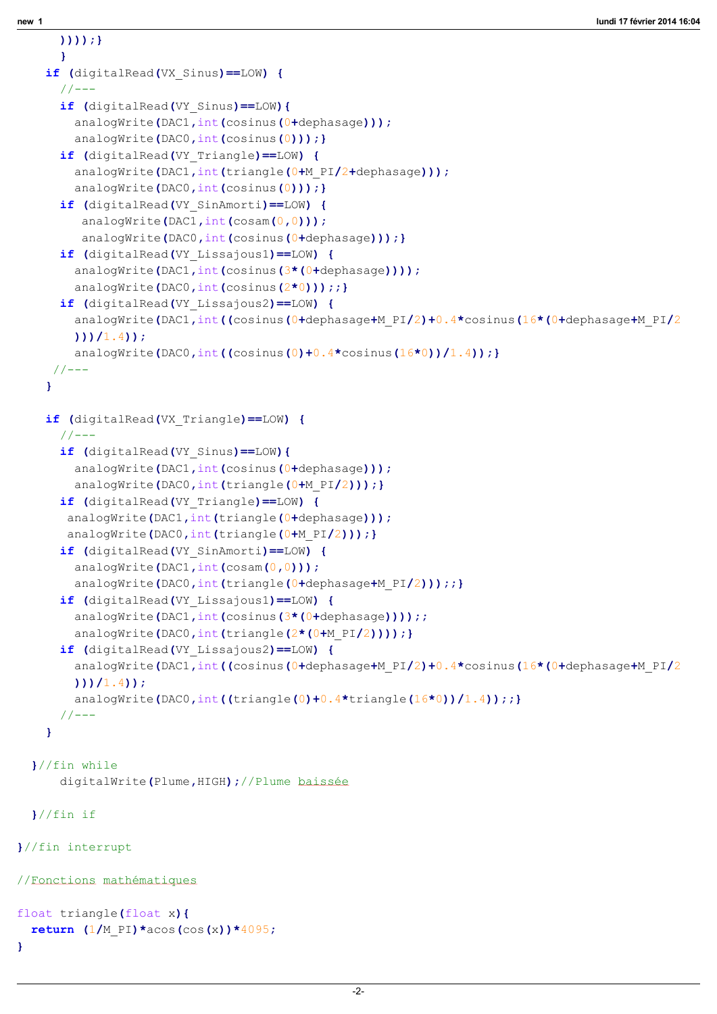))));}

```
}
    if (digitalRead(VX Sinus) ==LOW) {
      // --if (digitalRead(VY Sinus) ==LOW) {
        analogWrite(DAC1, int(cosinus(0+dephasage)));
        analogWrite(DAC0, int(cosinus(0))); }
      if (digitalRead(VY_Triangle) ==LOW) {
        analogWrite(DAC1, int(triangle(0+M_PI/2+dephasage)));
        analogWrite(DAC0, int(cosinus(0))); }
      if (digitalRead(VY_SinAmorti) ==LOW) {
         analogWrite(DAC1, int(cosam(0,0)));
         analogWrite(DAC0, int(cosinus(0+dephasage)));}
      if (digitalRead(VY Lissajous1) ==LOW) {
        analogWrite(DAC1, int(cosinus(3*(0+dephasage))));
        analogWrite(DAC0, int(cosinus(2*0)));;}
      if (digitalRead(VY_Lissajous2) ==LOW) {
        analogWrite(DAC1,int((cosinus(0+dephasage+M_PI/2)+0.4*cosinus(16*(0+dephasage+M_PI/2
        )) (1.4) ;
        analogWrite(DAC0,int((cosinus(0)+0.4*cosinus(16*0))/1.4));}
     // --}
    if (digitalRead(VX Triangle) ==LOW) {
      //---if (digitalRead(VY Sinus) ==LOW) {
        analogWrite(DAC1, int(cosinus(0+dephasage)));
        analogWrite(DAC0, int(triangle(0+M_PI/2)));}
      if (digitalRead(VY_Triangle) ==LOW) {
       analogWrite(DAC1, int(triangle(0+dephasage)));
       analogWrite(DAC0, int(triangle(0+M_PI/2)));}
      if (digitalRead(VY_SinAmorti) ==LOW) {
        analogWrite(DAC1, int(cosam(0,0)));
        analogWrite(DAC0, int(triangle(0+dephasage+M_PI/2)));;}
      if (digitalRead(VY Lissajous1)==LOW) {
        analogWrite(DAC1, int(cosinus(3*(0+dephasage))));;
        analogWrite(DAC0, int(triangle(2*(0+M_PI/2))));}
      if (digitalRead(VY_Lissajous2) ==LOW) {
        analogWrite(DAC1,int((cosinus(0+dephasage+M_PI/2)+0.4*cosinus(16*(0+dephasage+M_PI/2
        (1))(1.4);
        analogWrite(DAC0,int((triangle(0)+0.4*triangle(16*0))/1.4));;}
      // -- -}
  }//fin while
      digitalWrite(Plume,HIGH);//Plume baissée
  }//fin if
}//fin interrupt
//Fonctions mathématiques
float triangle(float x){
  return (1/M PI) *acos(cos(x)) *4095;
}
```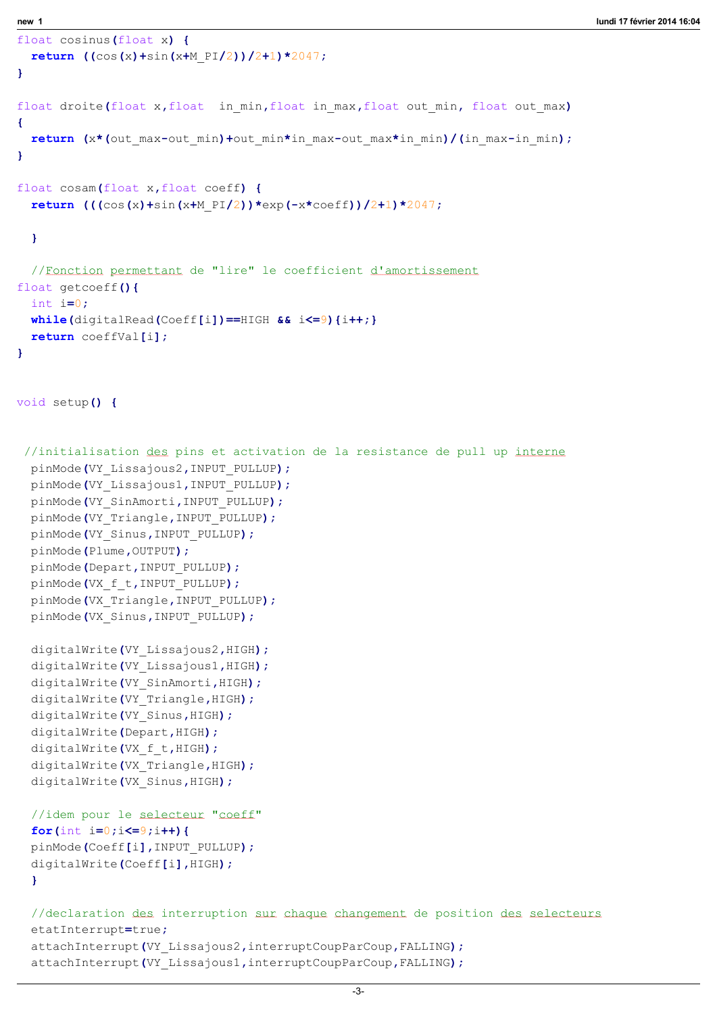```
float cosinus(float x) {
  return ((\cos(x) + \sin(x+M_PI/2))/2+1)*2047;}
float droite(float x,float in min,float in max,float out min, float out max)
\left\{ \right.return (x*(out max-out min)+out min*in max-out max*in min)/(in max-in min);
}
float cosam(float x,float coeff) {
 return (((\cos(x)+\sin(x+M_PI/2))*\exp(-x*\cos(f))/2+1)*2047;}
  //Fonction permettant de "lire" le coefficient d'amortissement
float getcoeff(){
  int i=0;
 while(digitalRead(Coeff[i]) ==HIGH &i \leq 9) {i++;}
  return coeffVal[i];
}
void setup() {
 //initialisation des pins et activation de la resistance de pull up interne
  pinMode(VY_Lissajous2,INPUT_PULLUP);
 pinMode(VY_Lissajous1,INPUT_PULLUP);
 pinMode(VY_SinAmorti,INPUT_PULLUP);
 pinMode(VY_Triangle,INPUT_PULLUP);
  pinMode(VY_Sinus,INPUT_PULLUP);
 pinMode(Plume,OUTPUT);
 pinMode(Depart,INPUT_PULLUP);
 pinMode(VX f t, INPUT PULLUP);
 pinMode(VX_Triangle,INPUT_PULLUP);
  pinMode(VX_Sinus,INPUT_PULLUP);
  digitalWrite(VY Lissajous2, HIGH);
  digitalWrite(VY_Lissajous1,HIGH);
  digitalWrite(VY_SinAmorti,HIGH);
  digitalWrite(VY_Triangle,HIGH);
  digitalWrite(VY Sinus, HIGH);
  digitalWrite(Depart,HIGH);
  digitalWrite(VX f t, HIGH);
  digitalWrite(VX Triangle, HIGH) ;
  digitalWrite(VX Sinus, HIGH);
  //idem pour le selecteur "coeff"
  for(int i=0; i<=9; i++){
  pinMode(Coeff[i],INPUT_PULLUP);
  digitalWrite(Coeff[i],HIGH);
  }
  //declaration des interruption sur chaque changement de position des selecteurs
  etatInterrupt=true;
  attachInterrupt(VY_Lissajous2,interruptCoupParCoup,FALLING);
```
attachInterrupt(VY\_Lissajous1,interruptCoupParCoup,FALLING);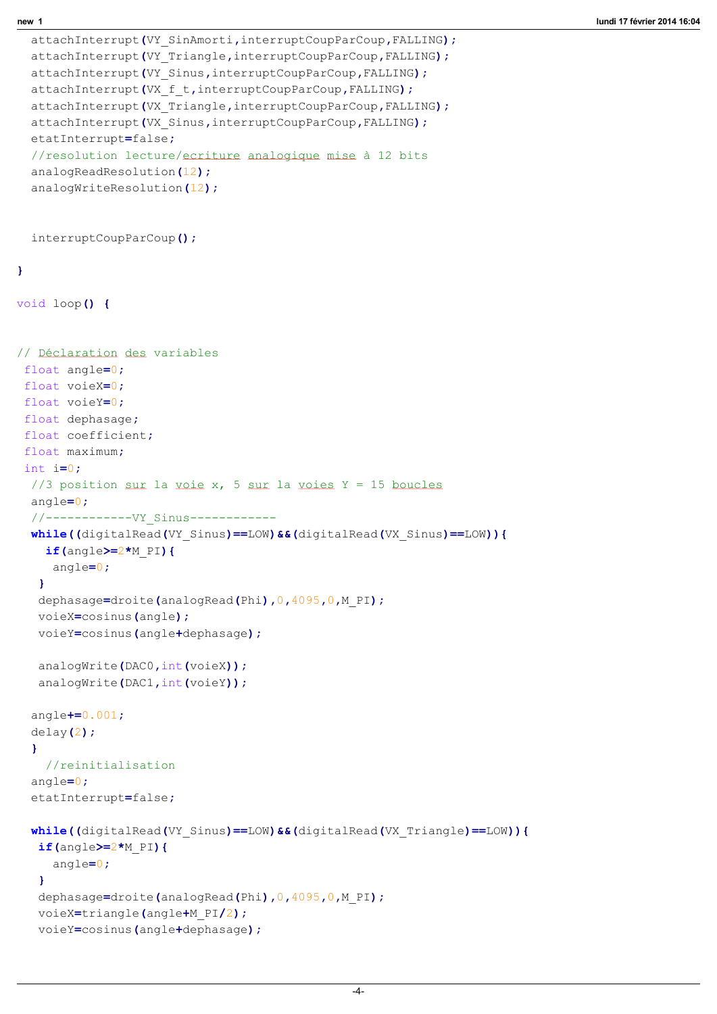```
attachInterrupt(VY_SinAmorti,interruptCoupParCoup,FALLING);
  attachInterrupt(VY_Triangle,interruptCoupParCoup,FALLING);
  attachInterrupt(VY_Sinus,interruptCoupParCoup,FALLING);
  attachInterrupt(VX f t,interruptCoupParCoup, FALLING);
 attachInterrupt(VX Triangle,interruptCoupParCoup,FALLING);
  attachInterrupt(VX Sinus,interruptCoupParCoup,FALLING);
  etatInterrupt=false;
  //resolution lecture/ecriture analogique mise à 12 bits
  analogReadResolution(12);
  analogWriteResolution(12);
  interruptCoupParCoup();
}
void loop() {
// Déclaration des variables
float angle=0;
 float voieX=0;
 float voieY=0;
 float dephasage;
 float coefficient;
 float maximum;
 int i=0;
 //3 position sur la voie x, 5 sur la voies Y = 15 boucles
 angle=0;
 //------------VY_Sinus------------
 while((digitalRead(VY_Sinus)==LOW)&&(digitalRead(VX_Sinus)==LOW)){
    if(angle>=2*M PI){
     angle=0;
   }
   dephasage=droite(analogRead(Phi), 0,4095, 0, M PI);
  voieX=cosinus(angle);
  voieY=cosinus(angle+dephasage);
   analogWrite(DAC0, int(voieX));
   analogWrite(DAC1, int(voieY));
  angle+=0.001;
  delay(2);
  }
    //reinitialisation
  angle=0;
  etatInterrupt=false;
 while((digitalRead(VY_Sinus)==LOW)&&(digitalRead(VX_Triangle)==LOW)){
   if(angle)=2*M PI){
     angle=0;
   }
   dephasage=droite(analogRead(Phi),0,4095,0,M_PI);
   voieX=triangle(angle+M_PI/2);
   voieY=cosinus(angle+dephasage);
```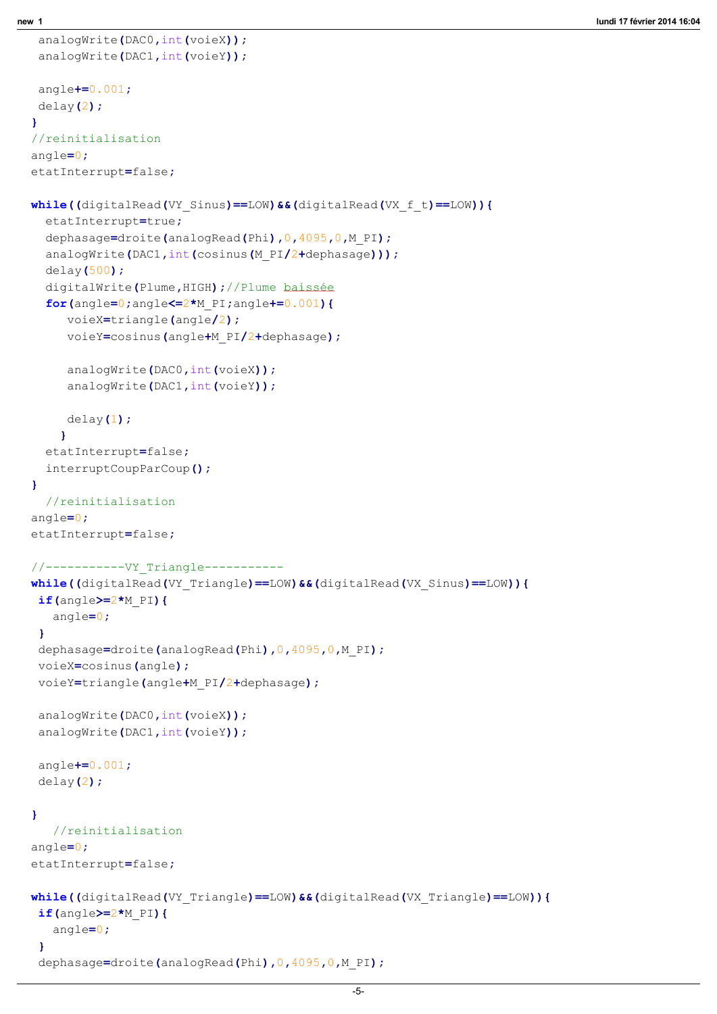```
analogWrite(DAC0, int(voieX));
 analogWrite(DAC1, int(voieY));
 angle+=0.001;
 delay(2);
}
//reinitialisation
angle=0;
etatInterrupt=false;
while((digitalRead(VY_Sinus)==LOW)&&(digitalRead(VX_f_t)==LOW)){
  etatInterrupt=true;
  dephasage=droite(analogRead(Phi),0,4095,0,M_PI);
  analogWrite(DAC1, int(cosinus(M_PI/2+dephasage)));
  delay(500);
  digitalWrite(Plume,HIGH);//Plume baissée
  for(angle=0;angle\leq=2*M PI;angle+=0.001){
     voieX=triangle(angle/2);
     voieY=cosinus(angle+M_PI/2+dephasage);
     analogWrite(DAC0, int(voieX));
     analogWrite(DAC1, int(voieY));
     delay(1);
    }
  etatInterrupt=false;
  interruptCoupParCoup();
}
  //reinitialisation 
angle=0;
etatInterrupt=false;
//-----------VY_Triangle-----------
while((digitalRead(VY_Triangle)==LOW)&&(digitalRead(VX_Sinus)==LOW)){
 if(angle)=2*M PI){
   angle=0;
 }
 dephasage=droite(analogRead(Phi), 0,4095, 0, M PI);
 voieX=cosinus(angle);
 voieY=triangle(angle+M_PI/2+dephasage);
 analogWrite(DAC0, int(voieX));
 analogWrite(DAC1, int(voieY));
 angle+=0.001;
 delay(2);
}
   //reinitialisation
angle=0;
etatInterrupt=false;
while((digitalRead(VY_Triangle)==LOW)&&(digitalRead(VX_Triangle)==LOW)){
 if(angle)=2*M PI){
   angle=0;
 }
 dephasage=droite(analogRead(Phi),0,4095,0,M_PI);
```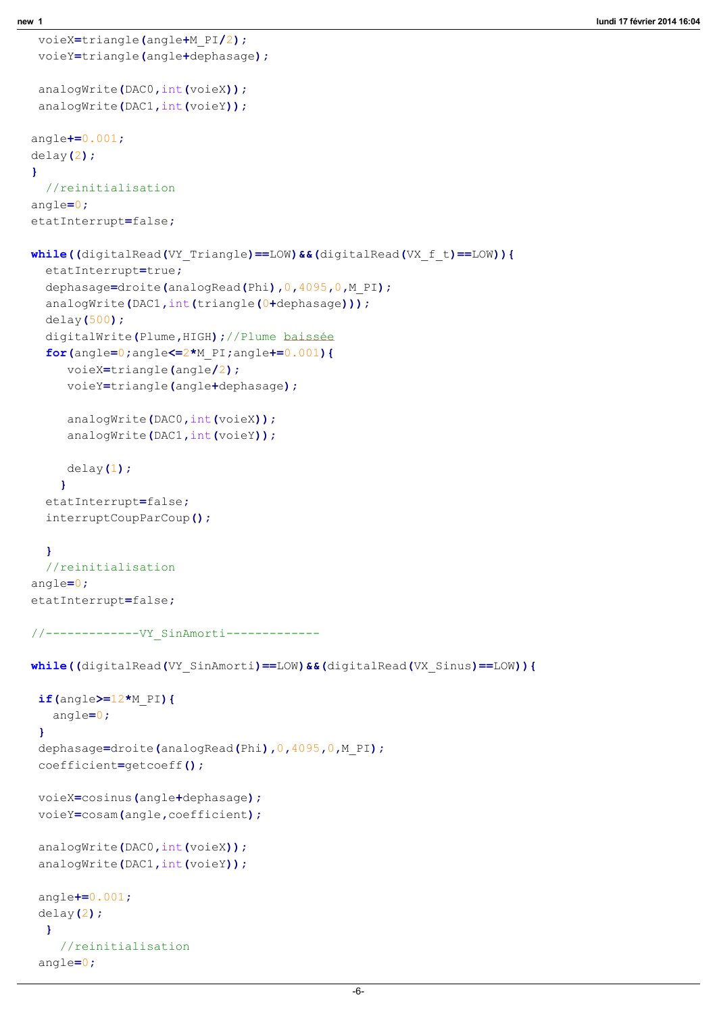```
voieX=triangle(angle+M_PI/2);
 voieY=triangle(angle+dephasage);
 analogWrite(DAC0, int(voieX));
 analogWrite(DAC1, int(voieY));
angle+=0.001;delay(2);
}
  //reinitialisation 
angle=0;
etatInterrupt=false;
while((digitalRead(VY_Triangle)==LOW)&&(digitalRead(VX_f_t)==LOW)){
  etatInterrupt=true;
  dephasage=droite(analogRead(Phi), 0,4095, 0, M PI);
  analogWrite(DAC1, int(triangle(0+dephasage)));
  delay(500);
  digitalWrite(Plume,HIGH);//Plume baissée
  for(angle=0;angle<=2*M_PI;angle+=0.001){
     voieX=triangle(angle/2);
     voieY=triangle(angle+dephasage);
     analogWrite(DAC0, int(voieX));
     analogWrite(DAC1, int(voieY));
     delay(1);
    }
  etatInterrupt=false;
  interruptCoupParCoup();
  }
  //reinitialisation 
angle=0;
etatInterrupt=false;
//-------------VY_SinAmorti-------------
while((digitalRead(VY_SinAmorti)==LOW)&&(digitalRead(VX_Sinus)==LOW)){
 if(angle)=12*M PI){
   angle=0;
 }
 dephasage=droite(analogRead(Phi), 0,4095, 0, M PI);
 coefficient=getcoeff();
 voieX=cosinus(angle+dephasage);
 voieY=cosam(angle,coefficient);
 analogWrite(DAC0, int(voieX));
 analogWrite(DAC1, int(voieY));
 angle+=0.001;
 delay(2);
  }
```
//reinitialisation

angle=0;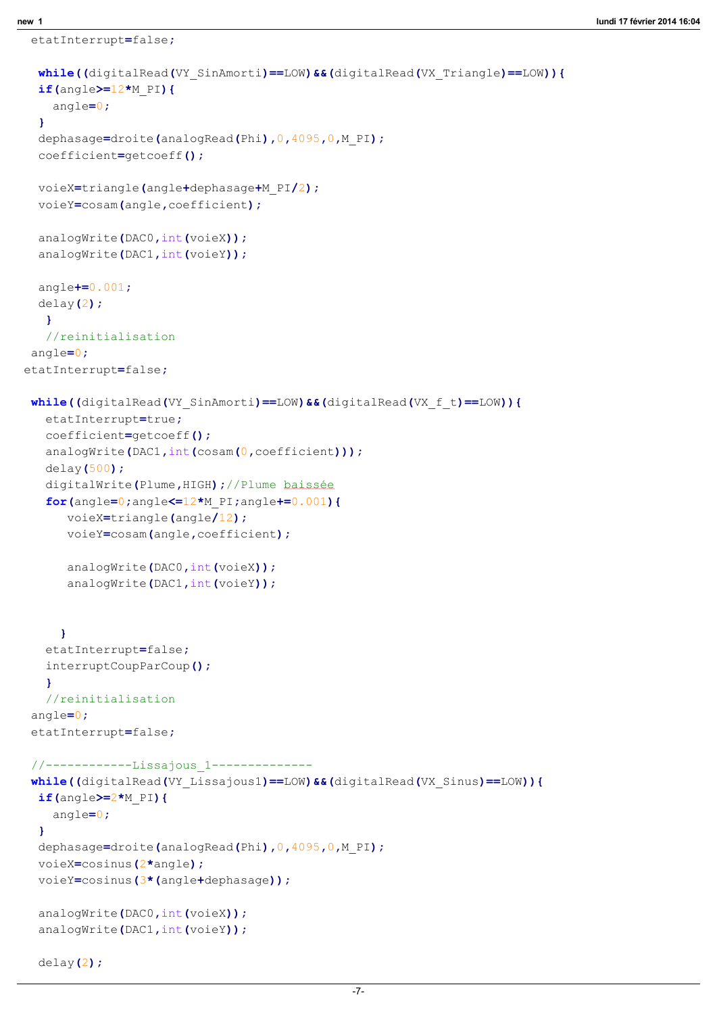```
etatInterrupt=false;
```
 $delay(2)$ ;

```
while((digitalRead(VY SinAmorti)==LOW)&&(digitalRead(VX_Triangle)==LOW)){
  if(angle)=12*M PI){
    angle=0;
  }
  dephasage=droite(analogRead(Phi),0,4095,0,M_PI);
  coefficient=getcoeff();
  voieX=triangle(angle+dephasage+M_PI/2);
  voieY=cosam(angle,coefficient);
  analogWrite(DAC0, int(voieX));
  analogWrite(DAC1, int(voieY));
  angle+=0.001;
  delay(2);
   }
   //reinitialisation
angle=0;
etatInterrupt=false;
while((digitalRead(VY_SinAmorti)==LOW)&&(digitalRead(VX_f_t)==LOW)){
   etatInterrupt=true;
   coefficient=getcoeff();
   analogWrite(DAC1, int(cosam(0, coefficient)));
   delay(500);
   digitalWrite(Plume,HIGH);//Plume baissée
   for(angle=0;angle\leq=12*M PI;angle+=0.001){
      voieX=triangle(angle/12);
      voieY=cosam(angle,coefficient);
      analogWrite(DAC0, int(voieX));
      analogWrite(DAC1, int(voieY));
     }
   etatInterrupt=false;
   interruptCoupParCoup();
   }
   //reinitialisation
 angle=0;
 etatInterrupt=false;
 //------------Lissajous_1-------------- 
 while((digitalRead(VY_Lissajous1) ==LOW) &&(digitalRead(VX_Sinus) ==LOW)) {
  if(angle)=2*M PI){
    angle=0;
  }
  dephasage=droite(analogRead(Phi), 0,4095, 0, M PI);
  voieX=cosinus(2*angle);
  voieY=cosinus(3*(angle+dephasage));
  analogWrite(DAC0, int(voieX));
  analogWrite(DAC1, int(voieY));
```
-7-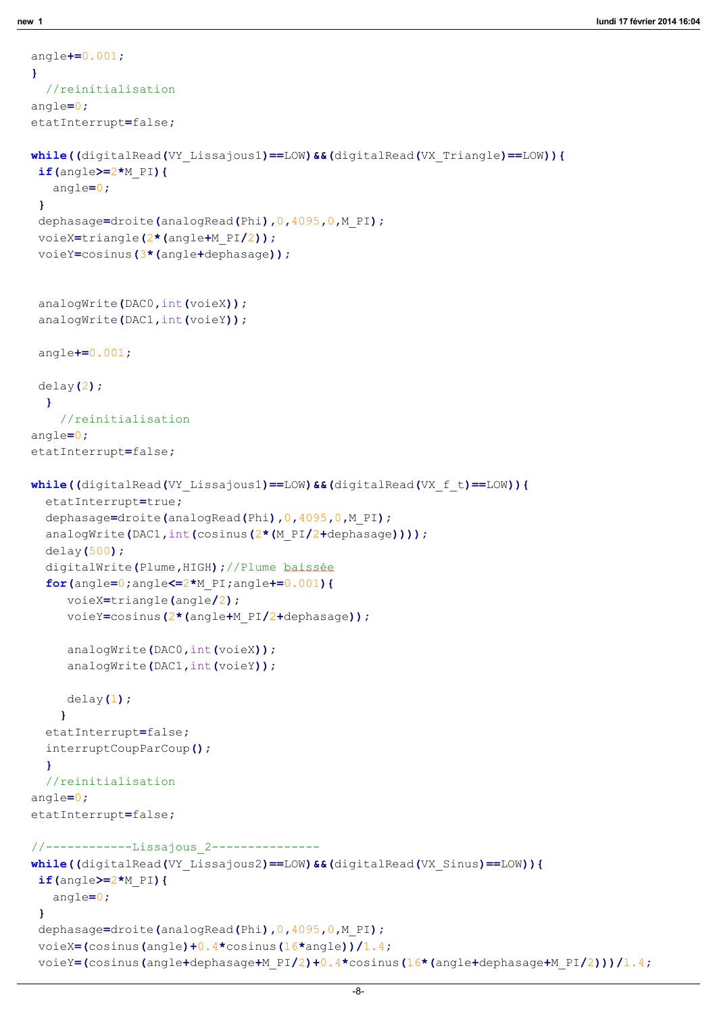```
}
  //reinitialisation
angle=0;
etatInterrupt=false;
while((digitalRead(VY_Lissajous1)==LOW)&&(digitalRead(VX_Triangle)==LOW)){
 if(angle)=2*M PI){
   angle=0;
 }
 dephasage=droite(analogRead(Phi), 0,4095, 0, M PI);
 voieX=triangle(2*(angle+M_PI/2));
 voieY=cosinus(3*(angle+dephasage));
 analogWrite(DAC0, int(voieX));
 analogWrite(DAC1, int(voieY));
 angle+=0.001;
 delay(2);
  }
    //reinitialisation
angle=0;
etatInterrupt=false;
while((digitalRead(VY_Lissajous1)==LOW)&&(digitalRead(VX_f_t)==LOW)){
  etatInterrupt=true;
  dephasage=droite(analogRead(Phi),0,4095,0,M_PI);
  analogWrite(DAC1,int(cosinus(2*(M_PI/2+dephasage))));
  delay(500);
  digitalWrite(Plume,HIGH);//Plume baissée
  for(angle=0;angle<=2*M_PI;angle+=0.001){
     voieX=triangle(angle/2);
     voieY=cosinus(2*(angle+M_PI/2+dephasage));
     analogWrite(DAC0, int(voieX));
     analogWrite(DAC1, int(voieY));
     delay(1);
    }
  etatInterrupt=false;
  interruptCoupParCoup();
  }
  //reinitialisation
angle=0;
etatInterrupt=false;
//------------Lissajous_2--------------- 
while((digitalRead(VY_Lissajous2)==LOW) &&(digitalRead(VX_Sinus)==LOW)){
 if(angle)=2*M PI){
   angle=0;
 }
 dephasage=droite(analogRead(Phi), 0,4095, 0, M PI);
 voieX=\left(\text{cosinus}(\text{angle})+0.4\text{*cosinus}(\text{16*angle})\right)/1.4;voieY=(cosinus(angle+dephasage+M_PI/2)+0.4*cosinus(16*(angle+dephasage+M_PI/2)))/1.4;
```
angle+=0.001;